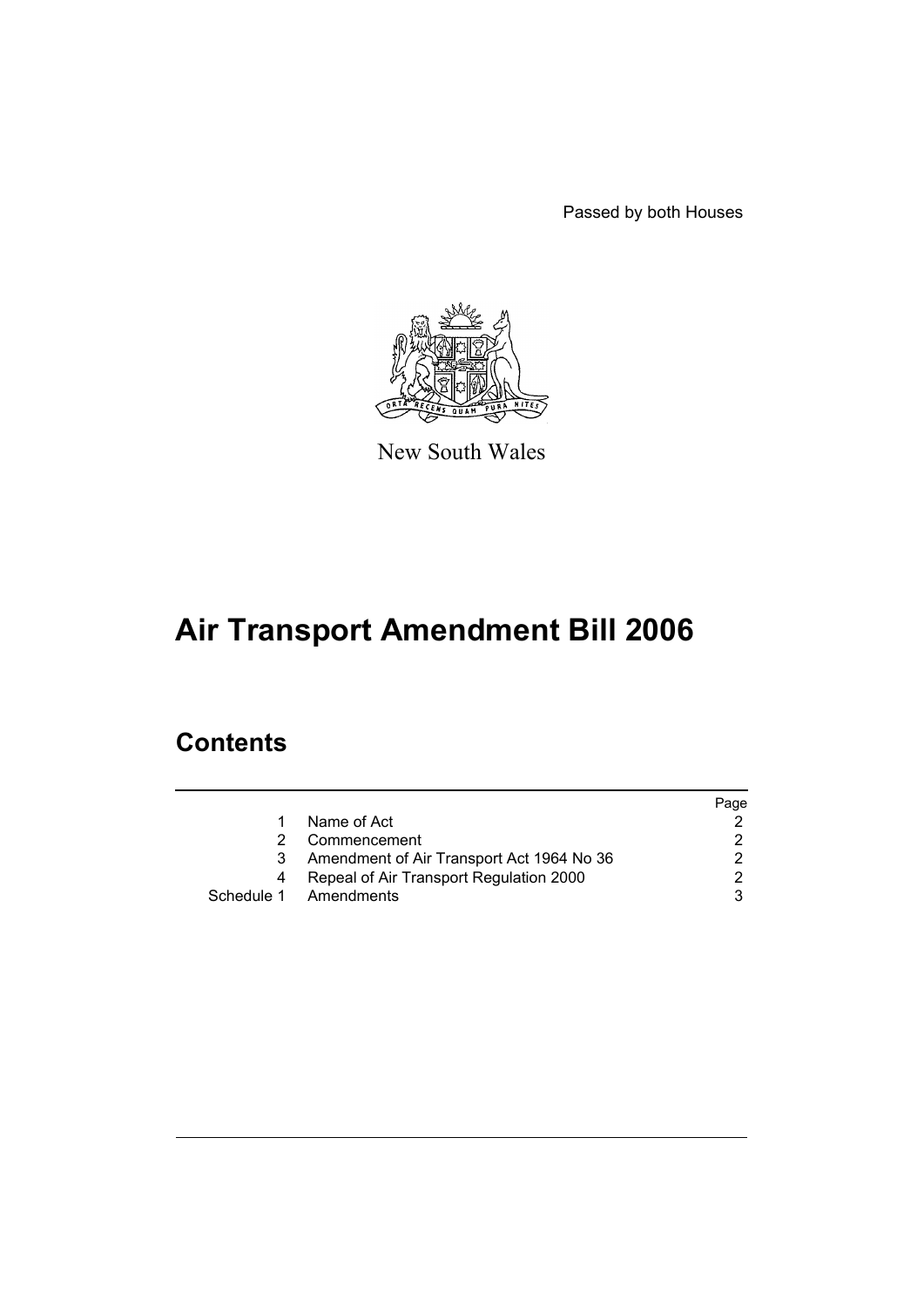Passed by both Houses



New South Wales

# **Air Transport Amendment Bill 2006**

## **Contents**

|    |                                           | Page |
|----|-------------------------------------------|------|
| 1. | Name of Act                               |      |
| 2  | Commencement                              |      |
| 3  | Amendment of Air Transport Act 1964 No 36 |      |
| 4  | Repeal of Air Transport Regulation 2000   | ົ    |
|    | Schedule 1 Amendments                     |      |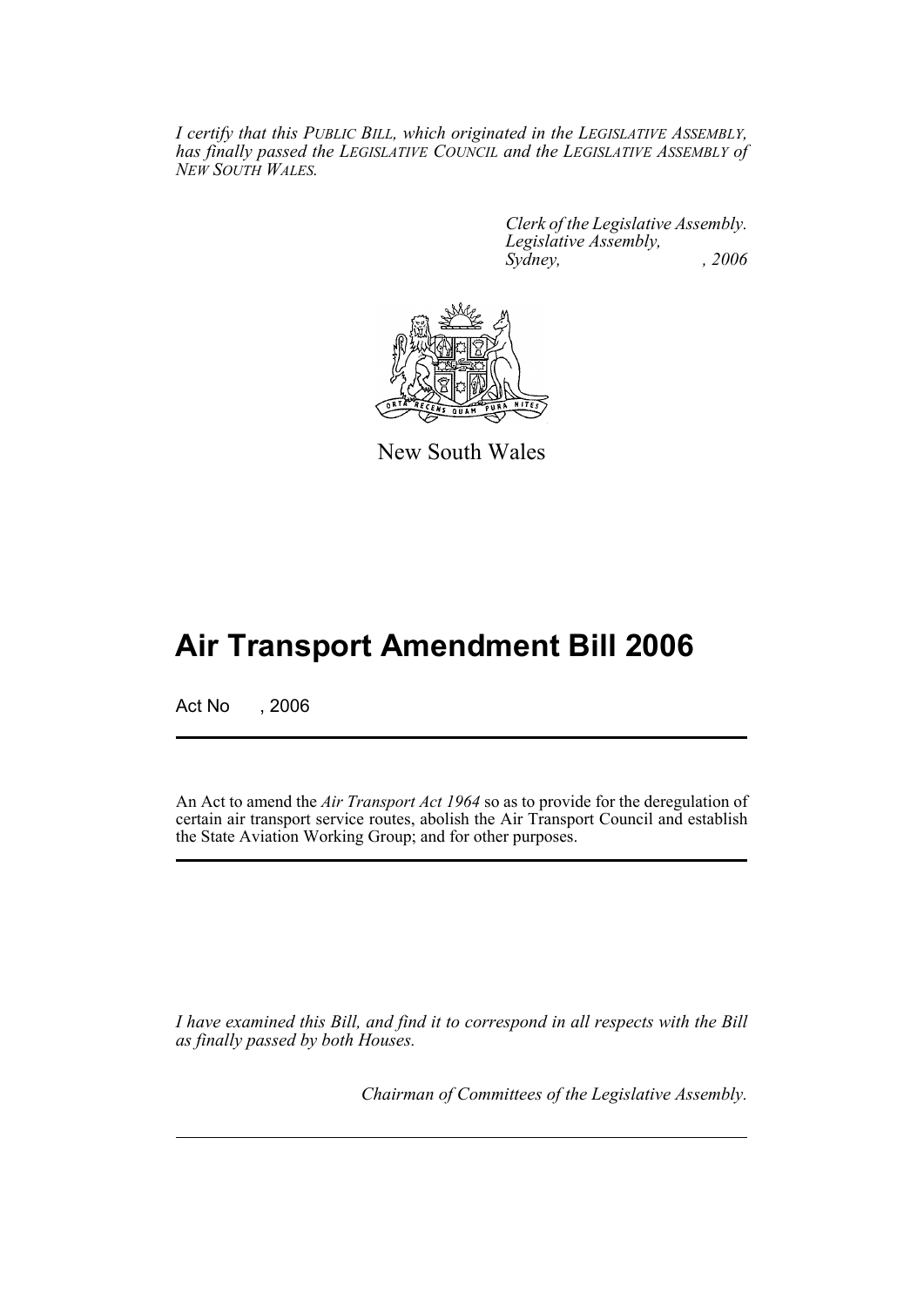*I certify that this PUBLIC BILL, which originated in the LEGISLATIVE ASSEMBLY, has finally passed the LEGISLATIVE COUNCIL and the LEGISLATIVE ASSEMBLY of NEW SOUTH WALES.*

> *Clerk of the Legislative Assembly. Legislative Assembly, Sydney, , 2006*



New South Wales

## **Air Transport Amendment Bill 2006**

Act No , 2006

An Act to amend the *Air Transport Act 1964* so as to provide for the deregulation of certain air transport service routes, abolish the Air Transport Council and establish the State Aviation Working Group; and for other purposes.

*I have examined this Bill, and find it to correspond in all respects with the Bill as finally passed by both Houses.*

*Chairman of Committees of the Legislative Assembly.*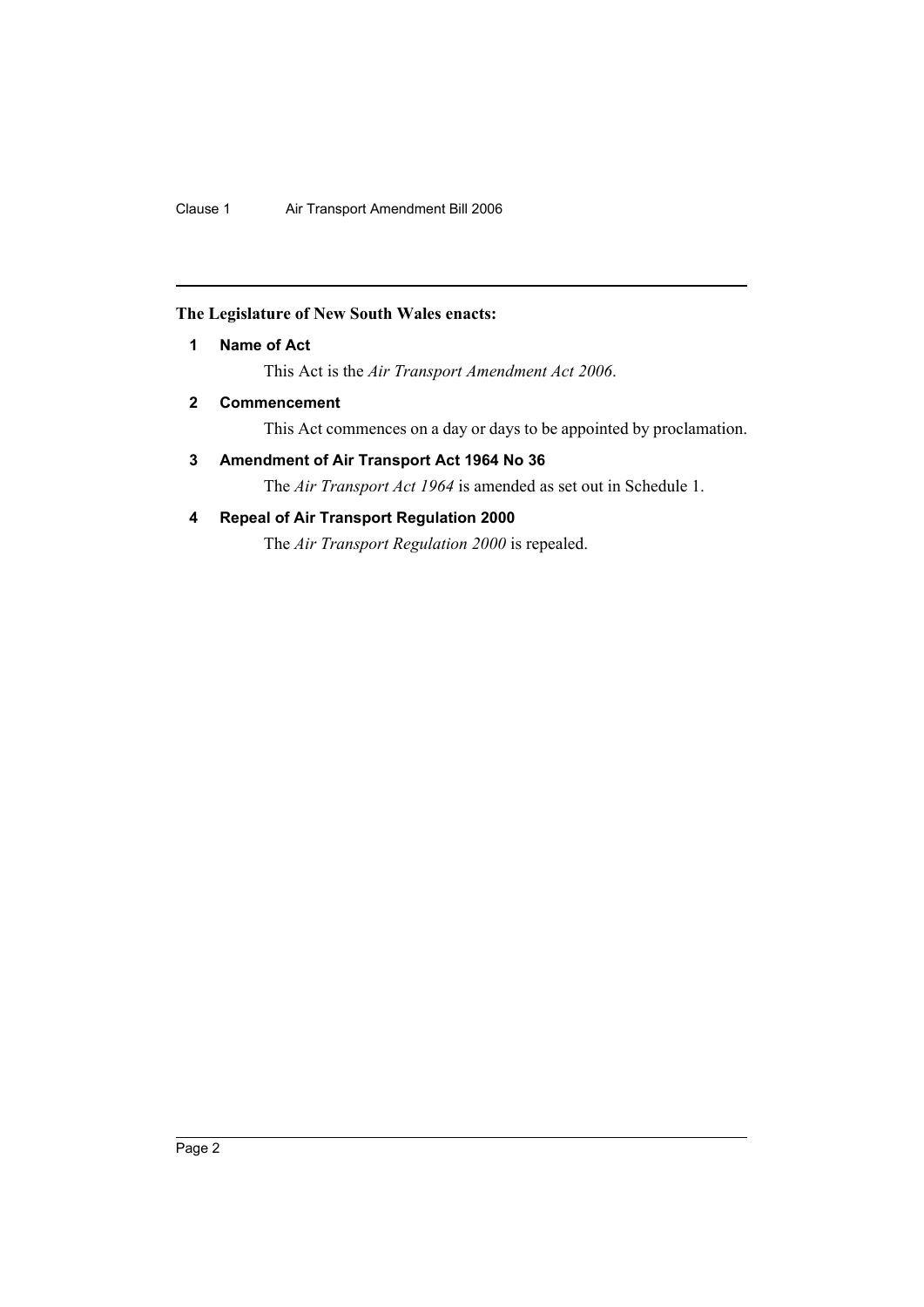### **The Legislature of New South Wales enacts:**

### **1 Name of Act**

This Act is the *Air Transport Amendment Act 2006*.

### **2 Commencement**

This Act commences on a day or days to be appointed by proclamation.

### **3 Amendment of Air Transport Act 1964 No 36**

The *Air Transport Act 1964* is amended as set out in Schedule 1.

### **4 Repeal of Air Transport Regulation 2000**

The *Air Transport Regulation 2000* is repealed.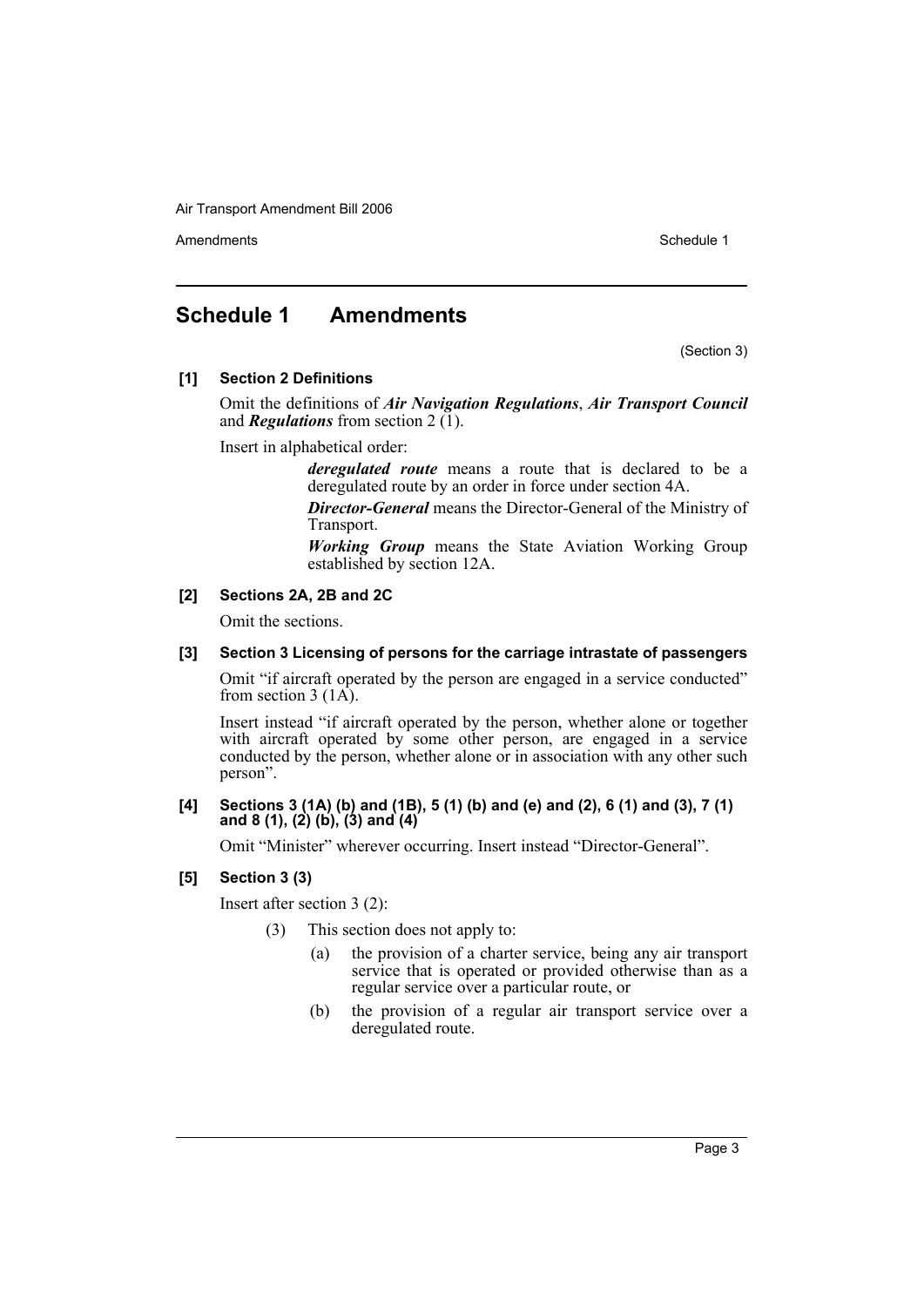Amendments **Schedule 1** and the set of the set of the set of the set of the set of the set of the set of the set of the set of the set of the set of the set of the set of the set of the set of the set of the set of the set

### **Schedule 1 Amendments**

(Section 3)

### **[1] Section 2 Definitions**

Omit the definitions of *Air Navigation Regulations*, *Air Transport Council* and *Regulations* from section  $2(\overline{1})$ .

Insert in alphabetical order:

*deregulated route* means a route that is declared to be a deregulated route by an order in force under section 4A.

*Director-General* means the Director-General of the Ministry of Transport.

*Working Group* means the State Aviation Working Group established by section 12A.

### **[2] Sections 2A, 2B and 2C**

Omit the sections.

### **[3] Section 3 Licensing of persons for the carriage intrastate of passengers**

Omit "if aircraft operated by the person are engaged in a service conducted" from section 3  $(1\text{\AA})$ .

Insert instead "if aircraft operated by the person, whether alone or together with aircraft operated by some other person, are engaged in a service conducted by the person, whether alone or in association with any other such person".

### **[4] Sections 3 (1A) (b) and (1B), 5 (1) (b) and (e) and (2), 6 (1) and (3), 7 (1) and 8 (1), (2) (b), (3) and (4)**

Omit "Minister" wherever occurring. Insert instead "Director-General".

### **[5] Section 3 (3)**

Insert after section 3 (2):

(3) This section does not apply to:

- (a) the provision of a charter service, being any air transport service that is operated or provided otherwise than as a regular service over a particular route, or
- (b) the provision of a regular air transport service over a deregulated route.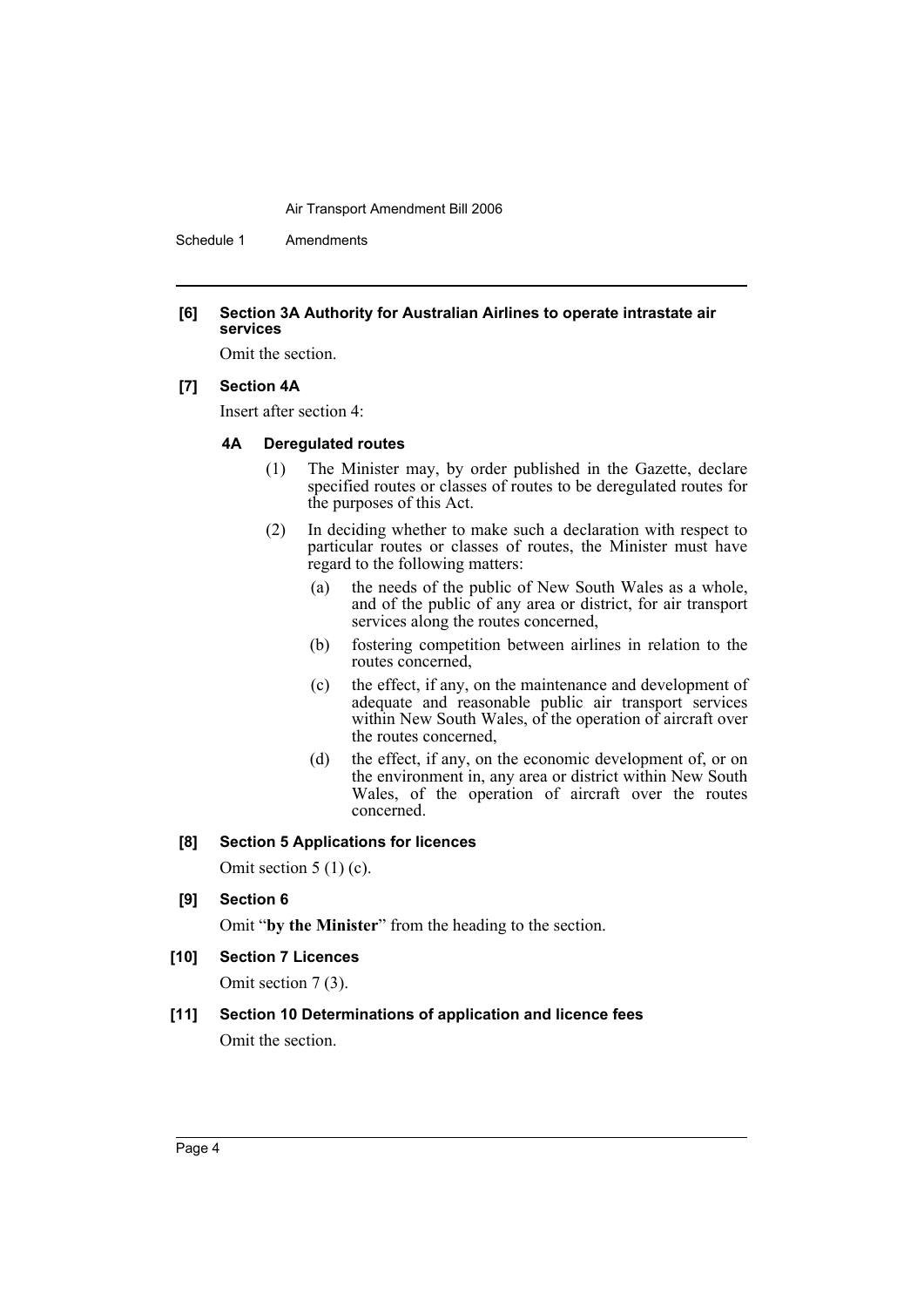Schedule 1 Amendments

#### **[6] Section 3A Authority for Australian Airlines to operate intrastate air services**

Omit the section.

### **[7] Section 4A**

Insert after section 4:

### **4A Deregulated routes**

- (1) The Minister may, by order published in the Gazette, declare specified routes or classes of routes to be deregulated routes for the purposes of this Act.
- (2) In deciding whether to make such a declaration with respect to particular routes or classes of routes, the Minister must have regard to the following matters:
	- (a) the needs of the public of New South Wales as a whole, and of the public of any area or district, for air transport services along the routes concerned,
	- (b) fostering competition between airlines in relation to the routes concerned,
	- (c) the effect, if any, on the maintenance and development of adequate and reasonable public air transport services within New South Wales, of the operation of aircraft over the routes concerned,
	- (d) the effect, if any, on the economic development of, or on the environment in, any area or district within New South Wales, of the operation of aircraft over the routes concerned.

### **[8] Section 5 Applications for licences**

Omit section 5 (1) (c).

**[9] Section 6**

Omit "**by the Minister**" from the heading to the section.

**[10] Section 7 Licences**

Omit section 7 (3).

### **[11] Section 10 Determinations of application and licence fees**

Omit the section.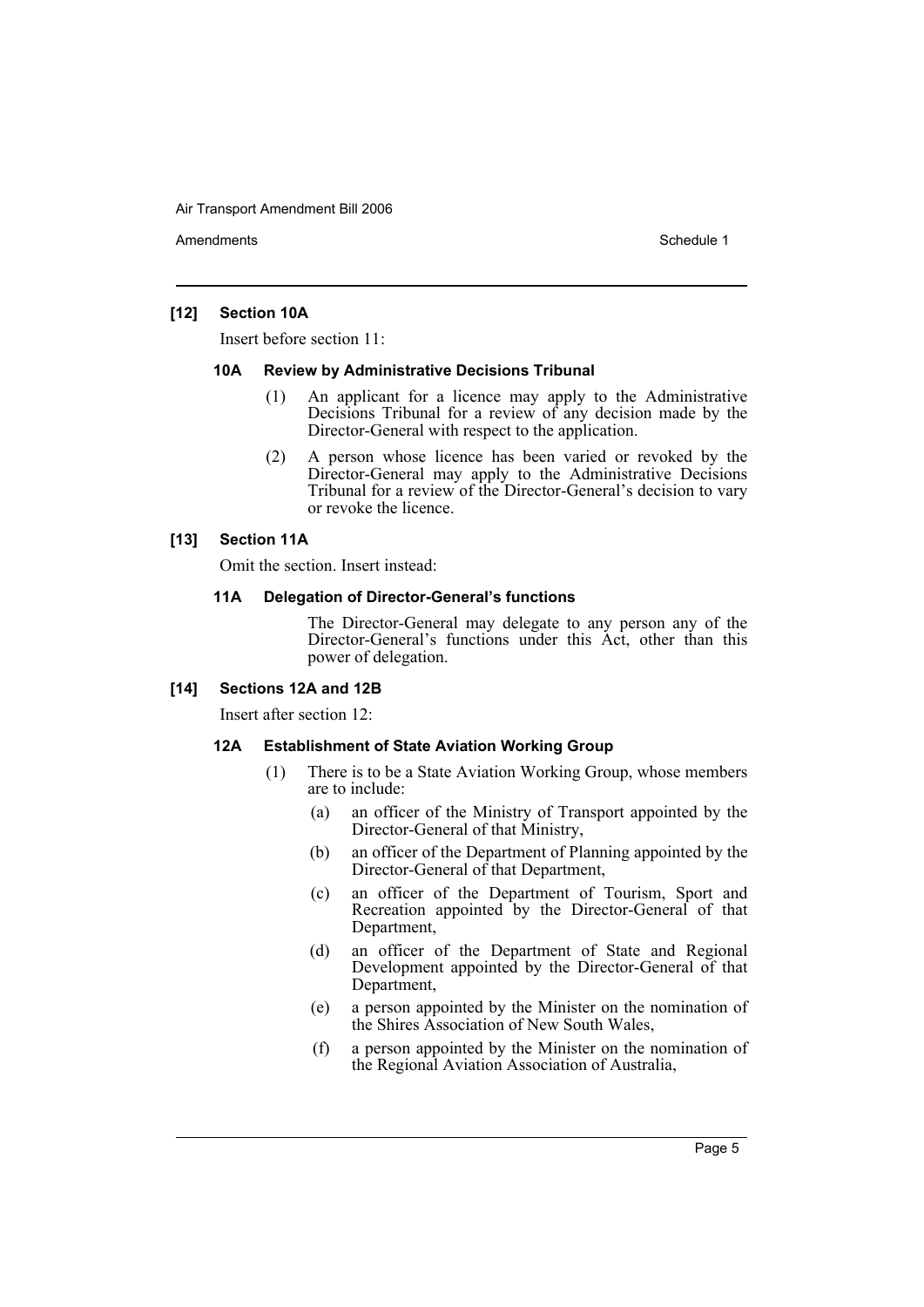Amendments **Amendments** Schedule 1

### **[12] Section 10A**

Insert before section 11:

### **10A Review by Administrative Decisions Tribunal**

- (1) An applicant for a licence may apply to the Administrative Decisions Tribunal for a review of any decision made by the Director-General with respect to the application.
- (2) A person whose licence has been varied or revoked by the Director-General may apply to the Administrative Decisions Tribunal for a review of the Director-General's decision to vary or revoke the licence.

### **[13] Section 11A**

Omit the section. Insert instead:

### **11A Delegation of Director-General's functions**

The Director-General may delegate to any person any of the Director-General's functions under this Act, other than this power of delegation.

### **[14] Sections 12A and 12B**

Insert after section 12:

### **12A Establishment of State Aviation Working Group**

- (1) There is to be a State Aviation Working Group, whose members are to include:
	- (a) an officer of the Ministry of Transport appointed by the Director-General of that Ministry,
	- (b) an officer of the Department of Planning appointed by the Director-General of that Department,
	- (c) an officer of the Department of Tourism, Sport and Recreation appointed by the Director-General of that Department,
	- (d) an officer of the Department of State and Regional Development appointed by the Director-General of that Department,
	- (e) a person appointed by the Minister on the nomination of the Shires Association of New South Wales,
	- (f) a person appointed by the Minister on the nomination of the Regional Aviation Association of Australia,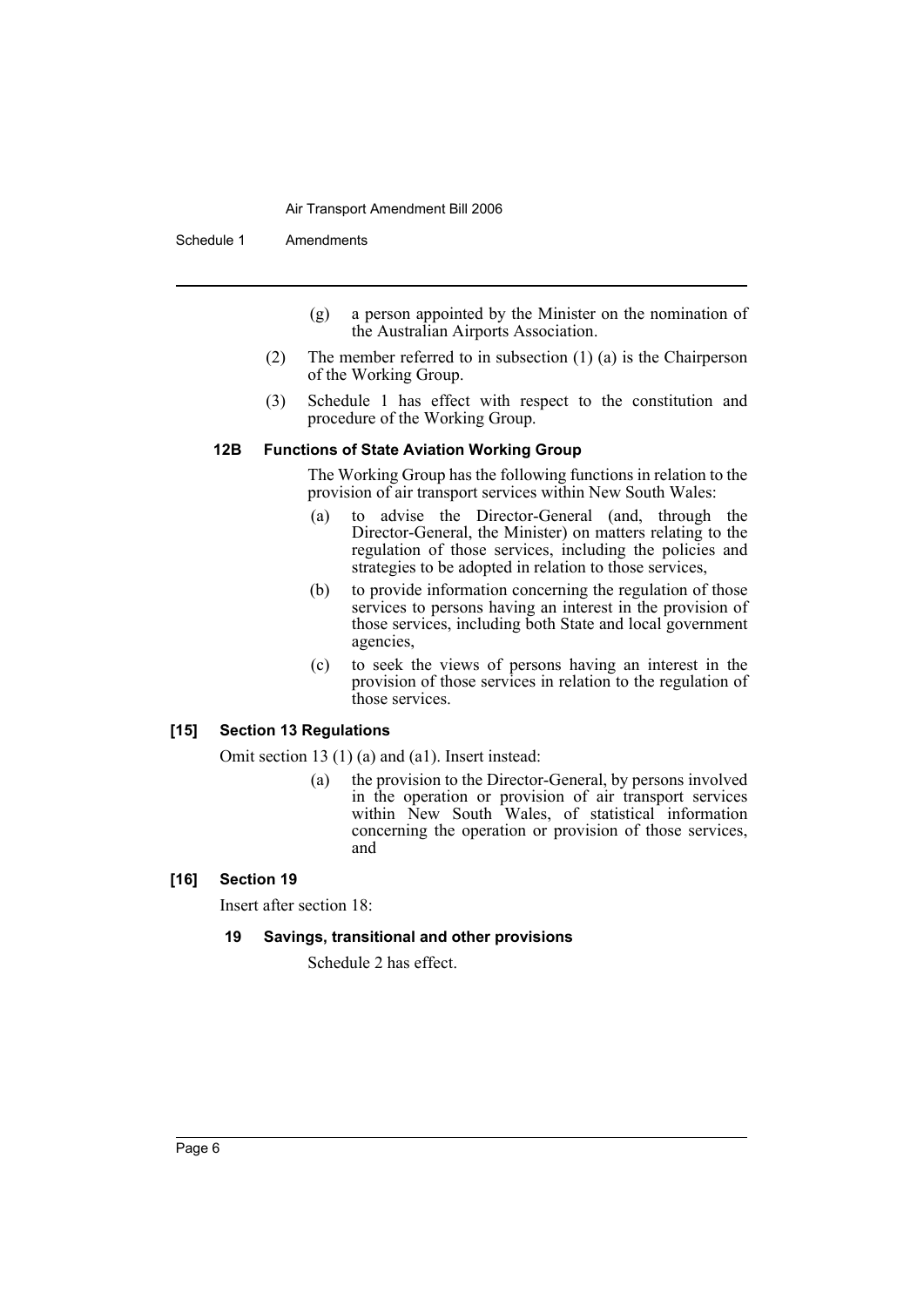Schedule 1 Amendments

- (g) a person appointed by the Minister on the nomination of the Australian Airports Association.
- (2) The member referred to in subsection (1) (a) is the Chairperson of the Working Group.
- (3) Schedule 1 has effect with respect to the constitution and procedure of the Working Group.

### **12B Functions of State Aviation Working Group**

The Working Group has the following functions in relation to the provision of air transport services within New South Wales:

- (a) to advise the Director-General (and, through the Director-General, the Minister) on matters relating to the regulation of those services, including the policies and strategies to be adopted in relation to those services,
- (b) to provide information concerning the regulation of those services to persons having an interest in the provision of those services, including both State and local government agencies,
- (c) to seek the views of persons having an interest in the provision of those services in relation to the regulation of those services.

### **[15] Section 13 Regulations**

Omit section 13 (1) (a) and (a1). Insert instead:

(a) the provision to the Director-General, by persons involved in the operation or provision of air transport services within New South Wales, of statistical information concerning the operation or provision of those services, and

### **[16] Section 19**

Insert after section 18:

### **19 Savings, transitional and other provisions**

Schedule 2 has effect.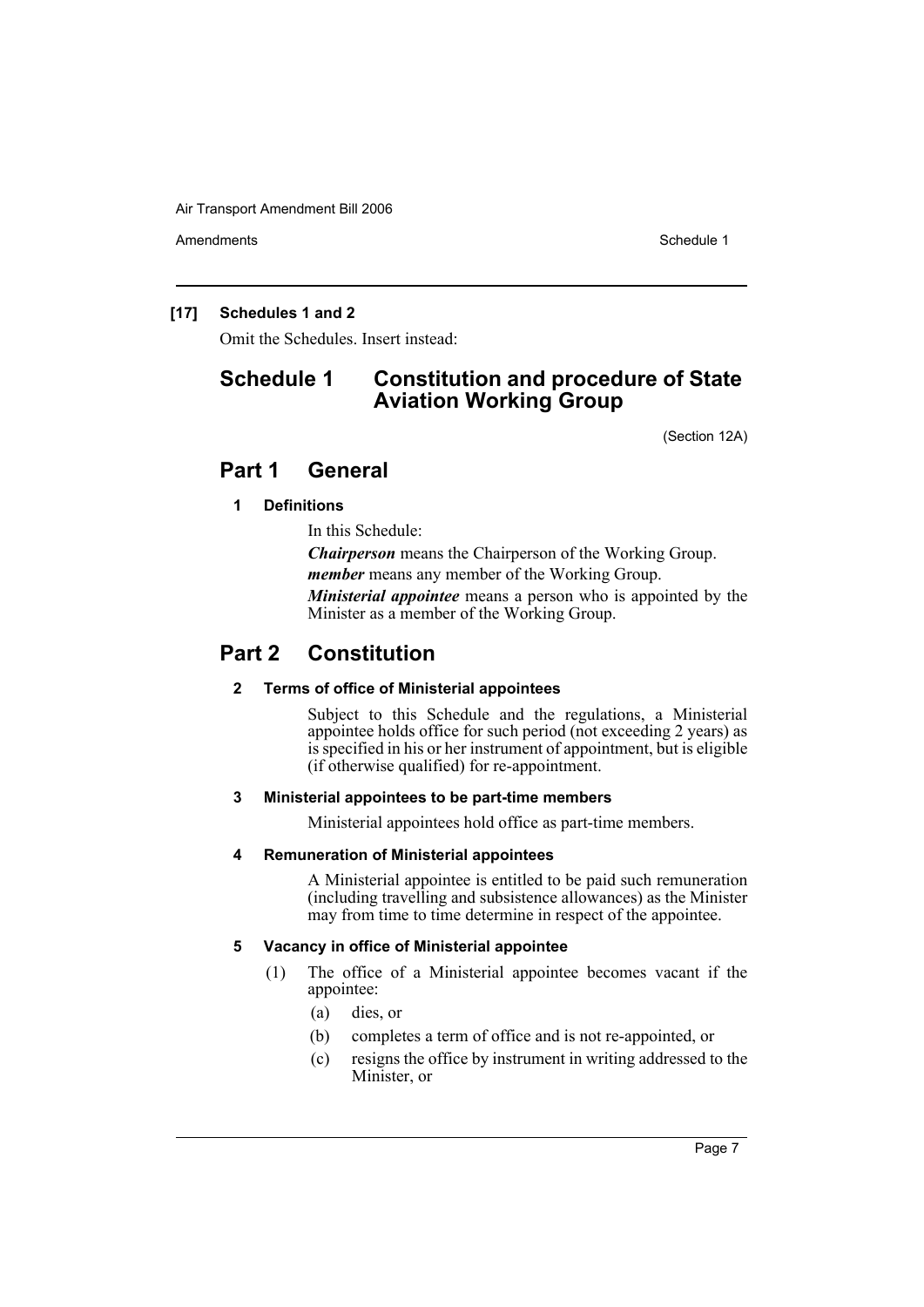Amendments **Schedule 1** and the set of the set of the set of the set of the set of the set of the set of the set of the set of the set of the set of the set of the set of the set of the set of the set of the set of the set

### **[17] Schedules 1 and 2**

Omit the Schedules. Insert instead:

### **Schedule 1 Constitution and procedure of State Aviation Working Group**

(Section 12A)

### **Part 1 General**

### **1 Definitions**

In this Schedule:

*Chairperson* means the Chairperson of the Working Group. *member* means any member of the Working Group.

*Ministerial appointee* means a person who is appointed by the Minister as a member of the Working Group.

### **Part 2 Constitution**

### **2 Terms of office of Ministerial appointees**

Subject to this Schedule and the regulations, a Ministerial appointee holds office for such period (not exceeding 2 years) as is specified in his or her instrument of appointment, but is eligible (if otherwise qualified) for re-appointment.

### **3 Ministerial appointees to be part-time members**

Ministerial appointees hold office as part-time members.

### **4 Remuneration of Ministerial appointees**

A Ministerial appointee is entitled to be paid such remuneration (including travelling and subsistence allowances) as the Minister may from time to time determine in respect of the appointee.

### **5 Vacancy in office of Ministerial appointee**

- (1) The office of a Ministerial appointee becomes vacant if the appointee:
	- (a) dies, or
	- (b) completes a term of office and is not re-appointed, or
	- (c) resigns the office by instrument in writing addressed to the Minister, or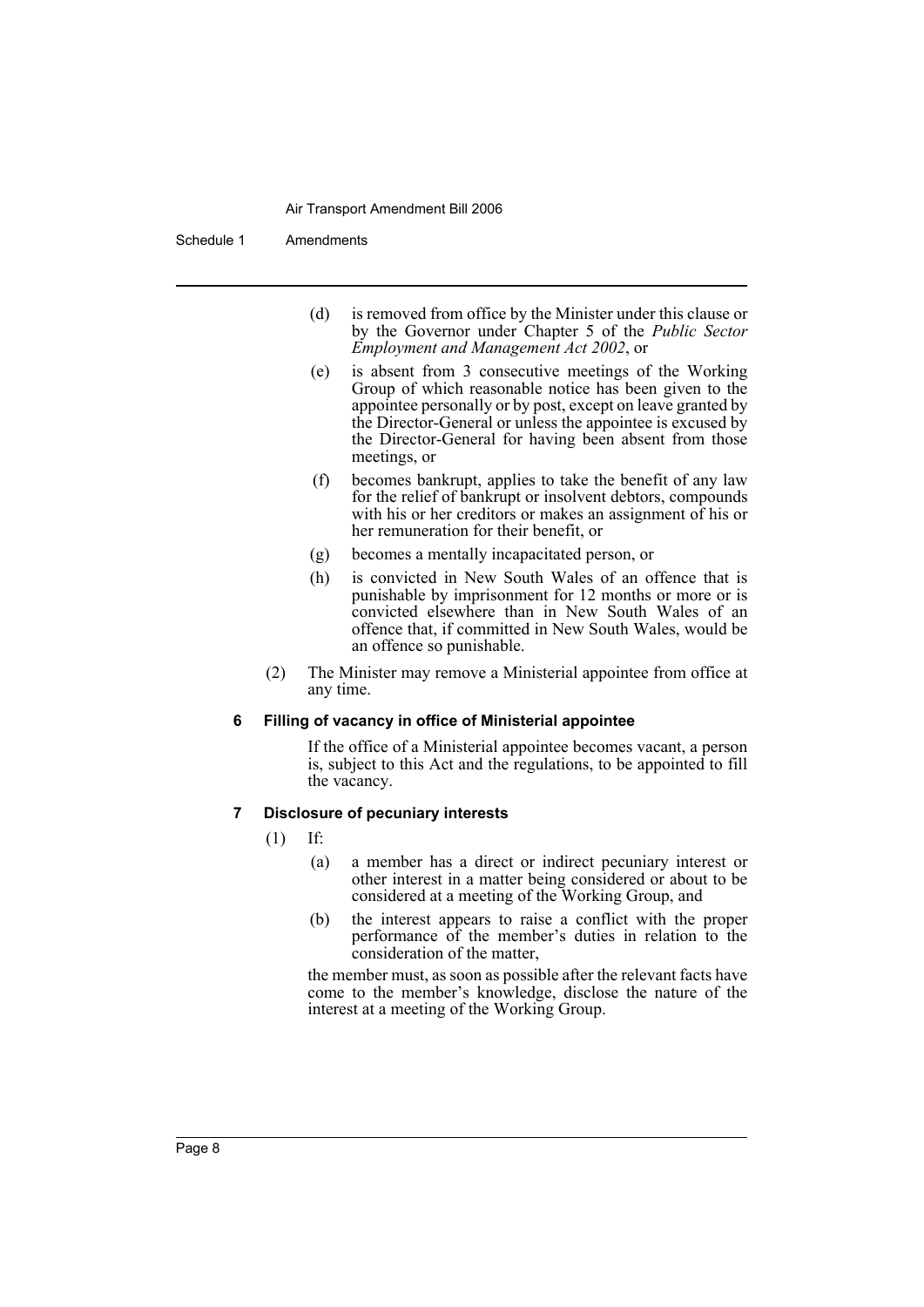Schedule 1 Amendments

- (d) is removed from office by the Minister under this clause or by the Governor under Chapter 5 of the *Public Sector Employment and Management Act 2002*, or
- (e) is absent from 3 consecutive meetings of the Working Group of which reasonable notice has been given to the appointee personally or by post, except on leave granted by the Director-General or unless the appointee is excused by the Director-General for having been absent from those meetings, or
- (f) becomes bankrupt, applies to take the benefit of any law for the relief of bankrupt or insolvent debtors, compounds with his or her creditors or makes an assignment of his or her remuneration for their benefit, or
- (g) becomes a mentally incapacitated person, or
- (h) is convicted in New South Wales of an offence that is punishable by imprisonment for 12 months or more or is convicted elsewhere than in New South Wales of an offence that, if committed in New South Wales, would be an offence so punishable.
- (2) The Minister may remove a Ministerial appointee from office at any time.

#### **6 Filling of vacancy in office of Ministerial appointee**

If the office of a Ministerial appointee becomes vacant, a person is, subject to this Act and the regulations, to be appointed to fill the vacancy.

### **7 Disclosure of pecuniary interests**

- (1) If:
	- (a) a member has a direct or indirect pecuniary interest or other interest in a matter being considered or about to be considered at a meeting of the Working Group, and
	- (b) the interest appears to raise a conflict with the proper performance of the member's duties in relation to the consideration of the matter,

the member must, as soon as possible after the relevant facts have come to the member's knowledge, disclose the nature of the interest at a meeting of the Working Group.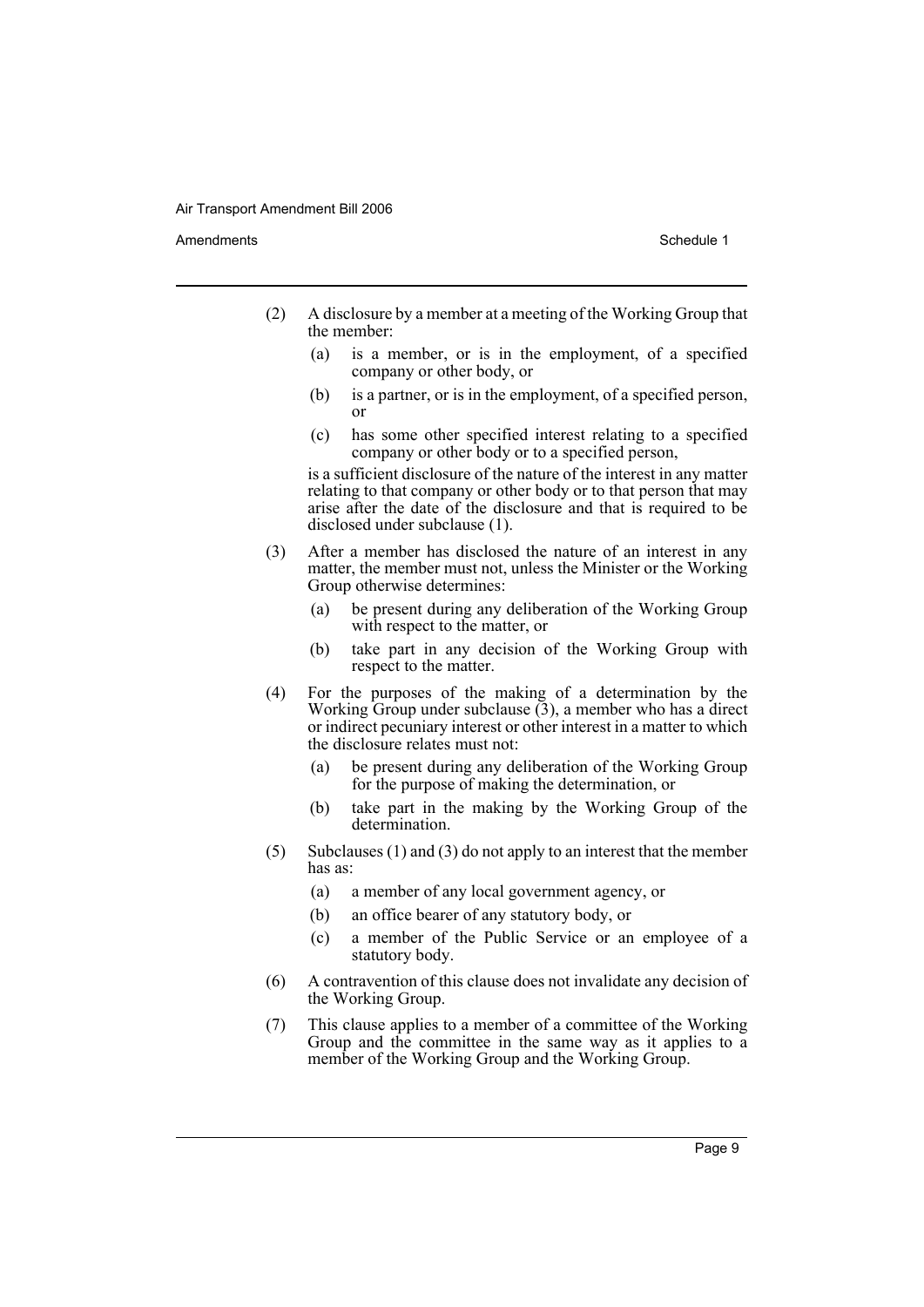Amendments **Schedule 1** and the set of the set of the set of the set of the set of the set of the set of the set of the set of the set of the set of the set of the set of the set of the set of the set of the set of the set

- (2) A disclosure by a member at a meeting of the Working Group that the member:
	- (a) is a member, or is in the employment, of a specified company or other body, or
	- (b) is a partner, or is in the employment, of a specified person, or
	- (c) has some other specified interest relating to a specified company or other body or to a specified person,

is a sufficient disclosure of the nature of the interest in any matter relating to that company or other body or to that person that may arise after the date of the disclosure and that is required to be disclosed under subclause (1).

- (3) After a member has disclosed the nature of an interest in any matter, the member must not, unless the Minister or the Working Group otherwise determines:
	- (a) be present during any deliberation of the Working Group with respect to the matter, or
	- (b) take part in any decision of the Working Group with respect to the matter.
- (4) For the purposes of the making of a determination by the Working Group under subclause (3), a member who has a direct or indirect pecuniary interest or other interest in a matter to which the disclosure relates must not:
	- (a) be present during any deliberation of the Working Group for the purpose of making the determination, or
	- (b) take part in the making by the Working Group of the determination.
- (5) Subclauses (1) and (3) do not apply to an interest that the member has as:
	- (a) a member of any local government agency, or
	- (b) an office bearer of any statutory body, or
	- (c) a member of the Public Service or an employee of a statutory body.
- (6) A contravention of this clause does not invalidate any decision of the Working Group.
- (7) This clause applies to a member of a committee of the Working Group and the committee in the same way as it applies to a member of the Working Group and the Working Group.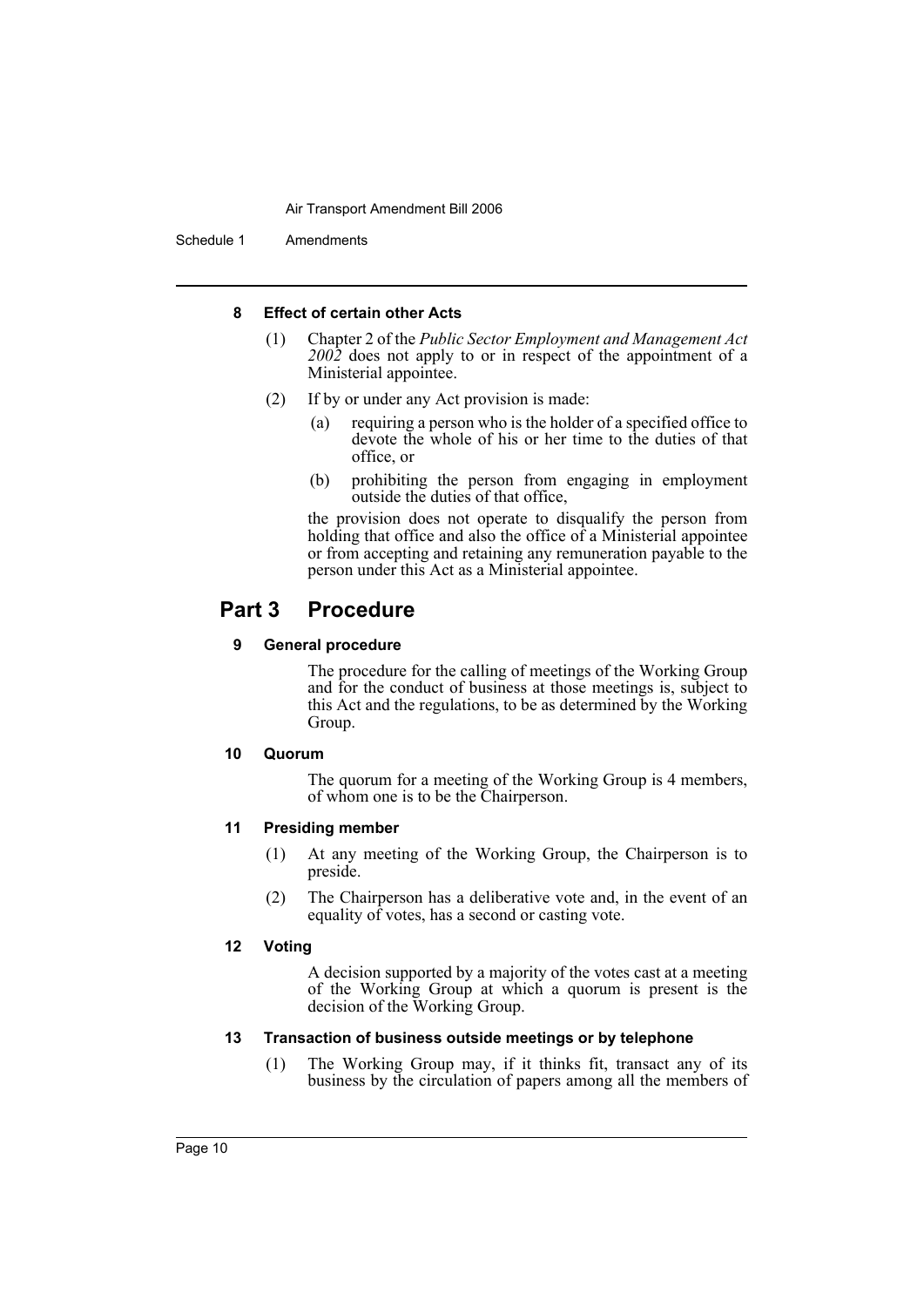Schedule 1 Amendments

### **8 Effect of certain other Acts**

- (1) Chapter 2 of the *Public Sector Employment and Management Act 2002* does not apply to or in respect of the appointment of a Ministerial appointee.
- (2) If by or under any Act provision is made:
	- (a) requiring a person who is the holder of a specified office to devote the whole of his or her time to the duties of that office, or
	- (b) prohibiting the person from engaging in employment outside the duties of that office,

the provision does not operate to disqualify the person from holding that office and also the office of a Ministerial appointee or from accepting and retaining any remuneration payable to the person under this Act as a Ministerial appointee.

### **Part 3 Procedure**

### **9 General procedure**

The procedure for the calling of meetings of the Working Group and for the conduct of business at those meetings is, subject to this Act and the regulations, to be as determined by the Working Group.

### **10 Quorum**

The quorum for a meeting of the Working Group is 4 members, of whom one is to be the Chairperson.

### **11 Presiding member**

- (1) At any meeting of the Working Group, the Chairperson is to preside.
- (2) The Chairperson has a deliberative vote and, in the event of an equality of votes, has a second or casting vote.

### **12 Voting**

A decision supported by a majority of the votes cast at a meeting of the Working Group at which a quorum is present is the decision of the Working Group.

### **13 Transaction of business outside meetings or by telephone**

(1) The Working Group may, if it thinks fit, transact any of its business by the circulation of papers among all the members of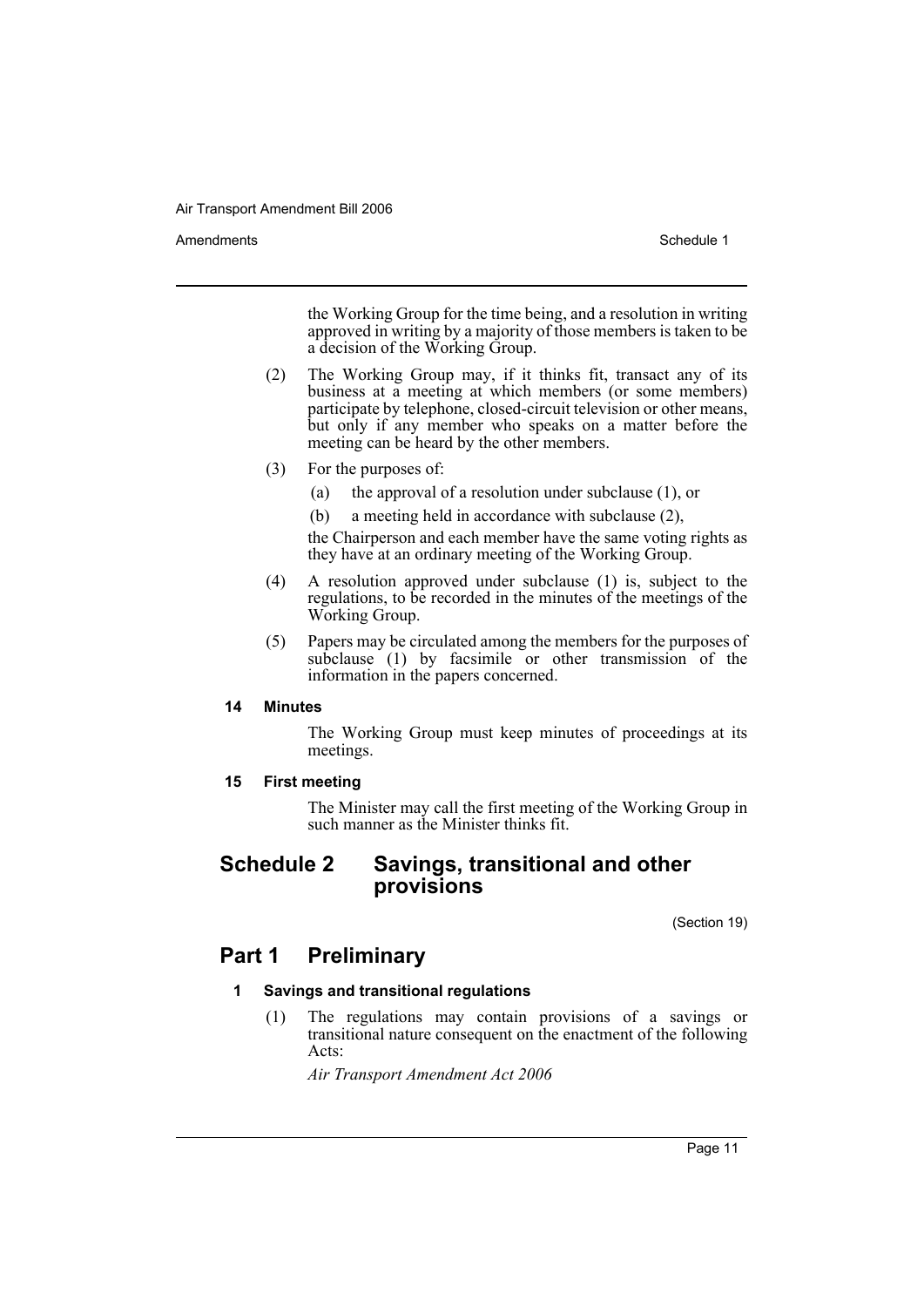Amendments **Schedule 1** and the set of the set of the set of the set of the set of the set of the set of the set of the set of the set of the set of the set of the set of the set of the set of the set of the set of the set

the Working Group for the time being, and a resolution in writing approved in writing by a majority of those members is taken to be a decision of the Working Group.

- (2) The Working Group may, if it thinks fit, transact any of its business at a meeting at which members (or some members) participate by telephone, closed-circuit television or other means, but only if any member who speaks on a matter before the meeting can be heard by the other members.
- (3) For the purposes of:
	- (a) the approval of a resolution under subclause (1), or
	- (b) a meeting held in accordance with subclause (2),

the Chairperson and each member have the same voting rights as they have at an ordinary meeting of the Working Group.

- (4) A resolution approved under subclause (1) is, subject to the regulations, to be recorded in the minutes of the meetings of the Working Group.
- (5) Papers may be circulated among the members for the purposes of subclause  $(1)$  by facsimile or other transmission of the information in the papers concerned.

### **14 Minutes**

The Working Group must keep minutes of proceedings at its meetings.

**15 First meeting**

The Minister may call the first meeting of the Working Group in such manner as the Minister thinks fit.

### **Schedule 2 Savings, transitional and other provisions**

(Section 19)

### **Part 1 Preliminary**

### **1 Savings and transitional regulations**

(1) The regulations may contain provisions of a savings or transitional nature consequent on the enactment of the following Acts:

*Air Transport Amendment Act 2006*